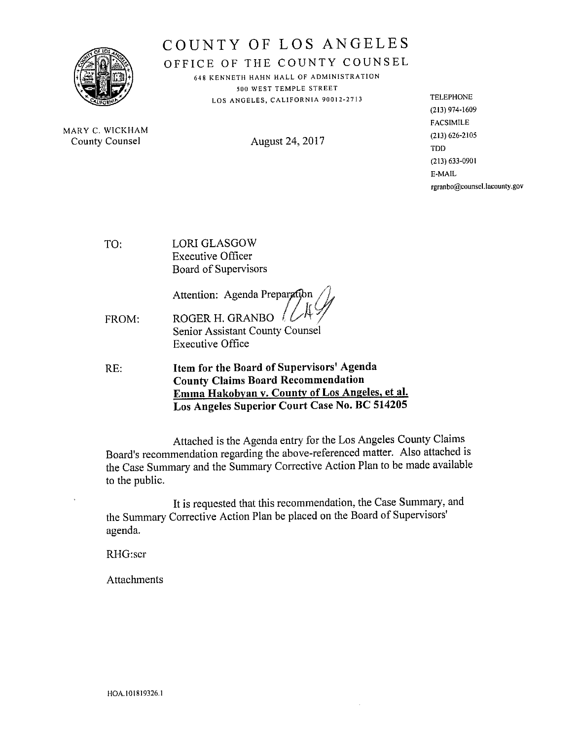

# COUNTY OF LOS ANGELES

OFFICE OF THE COUNTY COUNSEL

648 KENNETH HAHN HALL OF ADMINISTRATION 500 WEST TEMPLE STREET LOS ANGELES, CALIFORNIA 90012-2713

MARY C. WICKHAM **County Counsel** 

August 24, 2017

**TELEPHONE** (213) 974-1609 FACSIMILE  $(213) 626 - 2105$ **TDD** (213) 633-0901 E-MAIL rgranbo@counsel.lacounty.gov

**LORI GLASGOW** TO: **Executive Officer** Board of Supervisors

Attention: Agenda Preparation

- ROGER H. GRANBO FROM: Senior Assistant County Counsel **Executive Office**
- Item for the Board of Supervisors' Agenda RE: **County Claims Board Recommendation** Emma Hakobyan v. County of Los Angeles, et al. Los Angeles Superior Court Case No. BC 514205

Attached is the Agenda entry for the Los Angeles County Claims Board's recommendation regarding the above-referenced matter. Also attached is the Case Summary and the Summary Corrective Action Plan to be made available to the public.

It is requested that this recommendation, the Case Summary, and the Summary Corrective Action Plan be placed on the Board of Supervisors' agenda.

RHG:scr

Attachments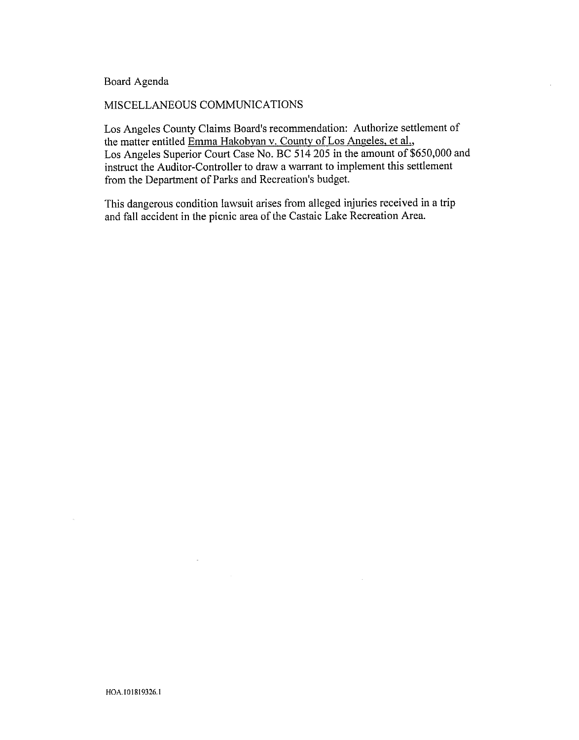### Board Agenda

#### MISCELLANEOUS COMMUNICATIONS

 $\omega_{\rm{max}}$ 

Los Angeles County Claims Board's recommendation: Authorize settlement of the matter entitled Emma Hakobvan v. County of Los Angeles, et al., Los Angeles Superior Court Case No. BC 514 205 in the amount of \$650,000 and instruct the Auditor-Controller to draw a warrant to implement this settlement from the Department of Parks and Recreation's budget.

This dangerous condition lawsuit arises from alleged injuries received in a trip and fall accident in the picnic area of the Castaic Lake Recreation Area.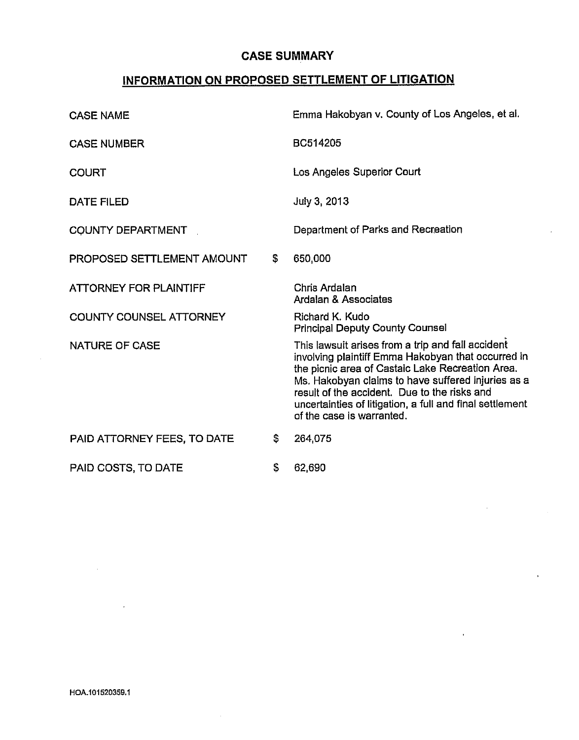## CASE SUMMARY

## INFORMATION ON PROPOSED SETTLEMENT OF LITIGATION

| <b>CASE NAME</b>               |              | Emma Hakobyan v. County of Los Angeles, et al.                                                                                                                                                                                                                                                                                                             |  |  |
|--------------------------------|--------------|------------------------------------------------------------------------------------------------------------------------------------------------------------------------------------------------------------------------------------------------------------------------------------------------------------------------------------------------------------|--|--|
| <b>CASE NUMBER</b>             |              | BC514205                                                                                                                                                                                                                                                                                                                                                   |  |  |
| <b>COURT</b>                   |              | Los Angeles Superior Court                                                                                                                                                                                                                                                                                                                                 |  |  |
| DATE FILED                     |              | July 3, 2013                                                                                                                                                                                                                                                                                                                                               |  |  |
| <b>COUNTY DEPARTMENT</b>       |              | Department of Parks and Recreation                                                                                                                                                                                                                                                                                                                         |  |  |
| PROPOSED SETTLEMENT AMOUNT     | $\mathbb{S}$ | 650,000                                                                                                                                                                                                                                                                                                                                                    |  |  |
| <b>ATTORNEY FOR PLAINTIFF</b>  |              | Chris Ardalan<br>Ardalan & Associates                                                                                                                                                                                                                                                                                                                      |  |  |
| <b>COUNTY COUNSEL ATTORNEY</b> |              | Richard K. Kudo<br><b>Principal Deputy County Counsel</b>                                                                                                                                                                                                                                                                                                  |  |  |
| <b>NATURE OF CASE</b>          |              | This lawsuit arises from a trip and fall accident<br>involving plaintiff Emma Hakobyan that occurred in<br>the picnic area of Castaic Lake Recreation Area.<br>Ms. Hakobyan claims to have suffered injuries as a<br>result of the accident. Due to the risks and<br>uncertainties of litigation, a full and final settlement<br>of the case is warranted. |  |  |
| PAID ATTORNEY FEES, TO DATE    | \$           | 264,075                                                                                                                                                                                                                                                                                                                                                    |  |  |
| PAID COSTS, TO DATE            | S            | 62,690                                                                                                                                                                                                                                                                                                                                                     |  |  |

 $\mathcal{L}_{\mathcal{A}}$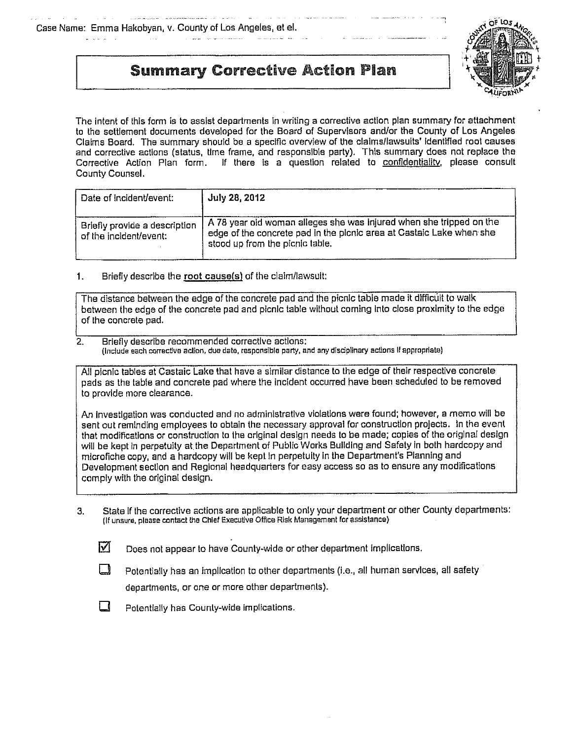$\sim 100$ 

and the property of the company of the property of the

# **Summary Corrective Action Plan**



The intent of this form is to assist departments in writing a corrective action plan summary for attachment to the settlement documents developed for the Board of Supervisors and/or the County of Los Angeles Claims Board. The summary should 6e a specffic overview of the ciaimsllawsuits' (denfified root causes and corrective actions (status, time frame, and responsible party). This summary does not replace the Corrective Action Plan form. If there is a question related to confidentiality, please consult County Counsel.

| Date of incident/event:                                 | July 28, 2012                                                                                                                                                                  |
|---------------------------------------------------------|--------------------------------------------------------------------------------------------------------------------------------------------------------------------------------|
| Briefly provide a description<br>of the incident/event: | A 78 year old woman alleges she was injured when she tripped on the<br>edge of the concrete pad in the picnic area at Castalc Lake when she<br>stood up from the picnic table. |

#### Briefly describe the root cause(s) of the claim/lawsuit:  $1.$

The disfance between the edge of the concrete pad and the picnic table made it difficult to walk between the edge of the concrete pad and picnic table without coming into close proximity to the edge of the concrete pad.

#### $\overline{2}$ . Briefly describe recommended corrective actions: each corrective action, due date, responsible party, and any disdpllnary actions IF appropriate)

All picnic tables at Castaic Lake that have a similar distance to the edge of their respective concrete pads as the table and concrete pad where the inc(dent occurred have been scheduled to be removed to provide more clearance.

An investigation was conducted and no administrative violations were found; however, a memo will be sent out reminding employees to obtain the necessary approval for construction projects. in the event that modifications or construction to the original design needs to be made; copies of the original design will be kept in perpetuity at the Department of Public Works Building and Safety in both hardcopy and microfiche copy, and a hardcopy will be kept in perpetuity in the Department's Planning and Development section and Regional headquarters for easy access so as to ensure any modifications comply with the original design.

- 3. State (f the corrective act(ons are applicable to only your department or other County departments: (If unsure, please contact the Chief Executive Office Risk Management for assistance)
	- ाज Does not appear to have County-wide or other department implications.
		- Potentially has an implication to other departments (i.e., all human services, all safety

departments, or one or more other departments).



 $\Box$